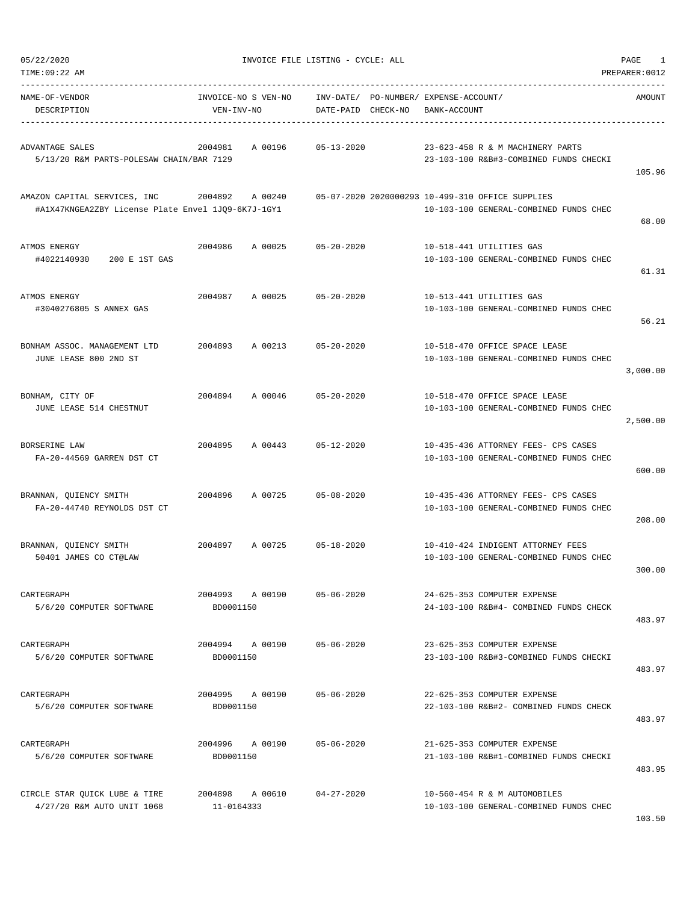| TIME: 09:22 AM                                                                                     |                                   |         |                            |                                                       |                                                                                            | PREPARER: 0012 |
|----------------------------------------------------------------------------------------------------|-----------------------------------|---------|----------------------------|-------------------------------------------------------|--------------------------------------------------------------------------------------------|----------------|
| NAME-OF-VENDOR<br>DESCRIPTION                                                                      | INVOICE-NO S VEN-NO<br>VEN-INV-NO |         | DATE-PAID CHECK-NO         | INV-DATE/ PO-NUMBER/ EXPENSE-ACCOUNT/<br>BANK-ACCOUNT |                                                                                            | AMOUNT         |
| ADVANTAGE SALES<br>5/13/20 R&M PARTS-POLESAW CHAIN/BAR 7129                                        | 2004981                           | A 00196 | $05 - 13 - 2020$           |                                                       | 23-623-458 R & M MACHINERY PARTS<br>23-103-100 R&B#3-COMBINED FUNDS CHECKI                 | 105.96         |
| AMAZON CAPITAL SERVICES, INC 2004892 A 00240<br>#A1X47KNGEA2ZBY License Plate Envel 1JQ9-6K7J-1GY1 |                                   |         |                            |                                                       | 05-07-2020 2020000293 10-499-310 OFFICE SUPPLIES<br>10-103-100 GENERAL-COMBINED FUNDS CHEC | 68.00          |
| ATMOS ENERGY<br>200 E 1ST GAS<br>#4022140930                                                       | 2004986                           | A 00025 | 05-20-2020                 |                                                       | 10-518-441 UTILITIES GAS<br>10-103-100 GENERAL-COMBINED FUNDS CHEC                         | 61.31          |
| ATMOS ENERGY<br>#3040276805 S ANNEX GAS                                                            |                                   |         | 2004987 A 00025 05-20-2020 |                                                       | 10-513-441 UTILITIES GAS<br>10-103-100 GENERAL-COMBINED FUNDS CHEC                         | 56.21          |
| BONHAM ASSOC. MANAGEMENT LTD<br>JUNE LEASE 800 2ND ST                                              | 2004893                           | A 00213 | $05 - 20 - 2020$           |                                                       | 10-518-470 OFFICE SPACE LEASE<br>10-103-100 GENERAL-COMBINED FUNDS CHEC                    | 3,000.00       |
| BONHAM, CITY OF<br>JUNE LEASE 514 CHESTNUT                                                         |                                   |         | 2004894 A 00046 05-20-2020 |                                                       | 10-518-470 OFFICE SPACE LEASE<br>10-103-100 GENERAL-COMBINED FUNDS CHEC                    | 2,500.00       |
| BORSERINE LAW<br>FA-20-44569 GARREN DST CT                                                         | 2004895                           |         | A 00443 05-12-2020         |                                                       | 10-435-436 ATTORNEY FEES- CPS CASES<br>10-103-100 GENERAL-COMBINED FUNDS CHEC              | 600.00         |
| BRANNAN, QUIENCY SMITH<br>FA-20-44740 REYNOLDS DST CT                                              | 2004896                           | A 00725 | $05 - 08 - 2020$           |                                                       | 10-435-436 ATTORNEY FEES- CPS CASES<br>10-103-100 GENERAL-COMBINED FUNDS CHEC              | 208.00         |
| BRANNAN, QUIENCY SMITH<br>50401 JAMES CO CT@LAW                                                    |                                   |         | 2004897 A 00725 05-18-2020 |                                                       | 10-410-424 INDIGENT ATTORNEY FEES<br>10-103-100 GENERAL-COMBINED FUNDS CHEC                | 300.00         |
| CARTEGRAPH<br>5/6/20 COMPUTER SOFTWARE                                                             | 2004993 A 00190<br>BD0001150      |         | $05 - 06 - 2020$           |                                                       | 24-625-353 COMPUTER EXPENSE<br>24-103-100 R&B#4- COMBINED FUNDS CHECK                      | 483.97         |
| CARTEGRAPH<br>5/6/20 COMPUTER SOFTWARE                                                             | 2004994 A 00190<br>BD0001150      |         | $05 - 06 - 2020$           |                                                       | 23-625-353 COMPUTER EXPENSE<br>23-103-100 R&B#3-COMBINED FUNDS CHECKI                      | 483.97         |
| CARTEGRAPH<br>5/6/20 COMPUTER SOFTWARE                                                             | 2004995 A 00190<br>BD0001150      |         | $05 - 06 - 2020$           |                                                       | 22-625-353 COMPUTER EXPENSE<br>22-103-100 R&B#2- COMBINED FUNDS CHECK                      | 483.97         |
| CARTEGRAPH<br>5/6/20 COMPUTER SOFTWARE                                                             | 2004996 A 00190<br>BD0001150      |         | $05 - 06 - 2020$           |                                                       | 21-625-353 COMPUTER EXPENSE<br>21-103-100 R&B#1-COMBINED FUNDS CHECKI                      | 483.95         |
| CIRCLE STAR QUICK LUBE & TIRE<br>4/27/20 R&M AUTO UNIT 1068                                        | 2004898 A 00610<br>11-0164333     |         | 04-27-2020                 |                                                       | 10-560-454 R & M AUTOMOBILES<br>10-103-100 GENERAL-COMBINED FUNDS CHEC                     | 102 E          |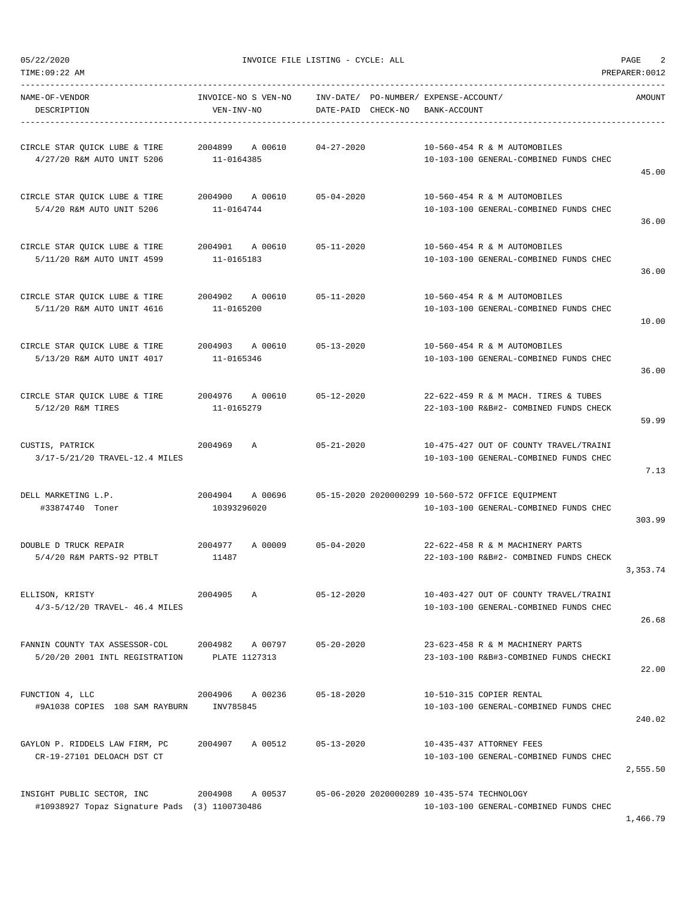TIME:09:22 AM PREPARER:0012 -----------------------------------------------------------------------------------------------------------------------------------

| NAME-OF-VENDOR<br>DESCRIPTION                                               | INVOICE-NO S VEN-NO<br>VEN-INV-NO        | INV-DATE/ PO-NUMBER/ EXPENSE-ACCOUNT/<br>DATE-PAID CHECK-NO BANK-ACCOUNT |                                                                                                       | AMOUNT   |
|-----------------------------------------------------------------------------|------------------------------------------|--------------------------------------------------------------------------|-------------------------------------------------------------------------------------------------------|----------|
| CIRCLE STAR QUICK LUBE & TIRE<br>4/27/20 R&M AUTO UNIT 5206                 | 2004899 A 00610 04-27-2020<br>11-0164385 |                                                                          | 10-560-454 R & M AUTOMOBILES<br>10-103-100 GENERAL-COMBINED FUNDS CHEC                                | 45.00    |
| CIRCLE STAR QUICK LUBE & TIRE<br>5/4/20 R&M AUTO UNIT 5206                  | 2004900 A 00610 05-04-2020<br>11-0164744 |                                                                          | 10-560-454 R & M AUTOMOBILES<br>10-103-100 GENERAL-COMBINED FUNDS CHEC                                | 36.00    |
| CIRCLE STAR QUICK LUBE & TIRE<br>5/11/20 R&M AUTO UNIT 4599                 | 2004901 A 00610 05-11-2020<br>11-0165183 |                                                                          | 10-560-454 R & M AUTOMOBILES<br>10-103-100 GENERAL-COMBINED FUNDS CHEC                                | 36.00    |
| CIRCLE STAR QUICK LUBE & TIRE<br>5/11/20 R&M AUTO UNIT 4616                 | 2004902 A 00610 05-11-2020<br>11-0165200 |                                                                          | 10-560-454 R & M AUTOMOBILES<br>10-103-100 GENERAL-COMBINED FUNDS CHEC                                | 10.00    |
| CIRCLE STAR QUICK LUBE & TIRE<br>5/13/20 R&M AUTO UNIT 4017                 | 2004903 A 00610 05-13-2020<br>11-0165346 |                                                                          | 10-560-454 R & M AUTOMOBILES<br>10-103-100 GENERAL-COMBINED FUNDS CHEC                                | 36.00    |
| CIRCLE STAR QUICK LUBE & TIRE 2004976 A 00610<br>5/12/20 R&M TIRES          | 11-0165279                               | 05-12-2020                                                               | 22-622-459 R & M MACH. TIRES & TUBES<br>22-103-100 R&B#2- COMBINED FUNDS CHECK                        | 59.99    |
| CUSTIS, PATRICK<br>3/17-5/21/20 TRAVEL-12.4 MILES                           | 2004969 A                                | $05 - 21 - 2020$                                                         | 10-475-427 OUT OF COUNTY TRAVEL/TRAINI<br>10-103-100 GENERAL-COMBINED FUNDS CHEC                      | 7.13     |
| DELL MARKETING L.P.<br>#33874740 Toner                                      | 2004904 A 00696<br>10393296020           |                                                                          | 05-15-2020 2020000299 10-560-572 OFFICE EQUIPMENT<br>10-103-100 GENERAL-COMBINED FUNDS CHEC           | 303.99   |
| DOUBLE D TRUCK REPAIR<br>2004977<br>5/4/20 R&M PARTS-92 PTBLT               | A 00009<br>11487                         | $05 - 04 - 2020$                                                         | 22-622-458 R & M MACHINERY PARTS<br>22-103-100 R&B#2- COMBINED FUNDS CHECK                            | 3,353.74 |
| ELLISON, KRISTY<br>$4/3 - 5/12/20$ TRAVEL- 46.4 MILES                       |                                          |                                                                          | 2004905 A 05-12-2020 10-403-427 OUT OF COUNTY TRAVEL/TRAINI<br>10-103-100 GENERAL-COMBINED FUNDS CHEC | 26.68    |
| FANNIN COUNTY TAX ASSESSOR-COL<br>5/20/20 2001 INTL REGISTRATION            | A 00797<br>2004982<br>PLATE 1127313      | $05 - 20 - 2020$                                                         | 23-623-458 R & M MACHINERY PARTS<br>23-103-100 R&B#3-COMBINED FUNDS CHECKI                            | 22.00    |
| FUNCTION 4, LLC<br>#9A1038 COPIES 108 SAM RAYBURN                           | 2004906<br>A 00236<br>INV785845          | $05 - 18 - 2020$                                                         | 10-510-315 COPIER RENTAL<br>10-103-100 GENERAL-COMBINED FUNDS CHEC                                    | 240.02   |
| GAYLON P. RIDDELS LAW FIRM, PC<br>CR-19-27101 DELOACH DST CT                | 2004907<br>A 00512                       | $05 - 13 - 2020$                                                         | 10-435-437 ATTORNEY FEES<br>10-103-100 GENERAL-COMBINED FUNDS CHEC                                    | 2,555.50 |
| INSIGHT PUBLIC SECTOR, INC<br>#10938927 Topaz Signature Pads (3) 1100730486 | 2004908<br>A 00537                       |                                                                          | 05-06-2020 2020000289 10-435-574 TECHNOLOGY<br>10-103-100 GENERAL-COMBINED FUNDS CHEC                 |          |

1,466.79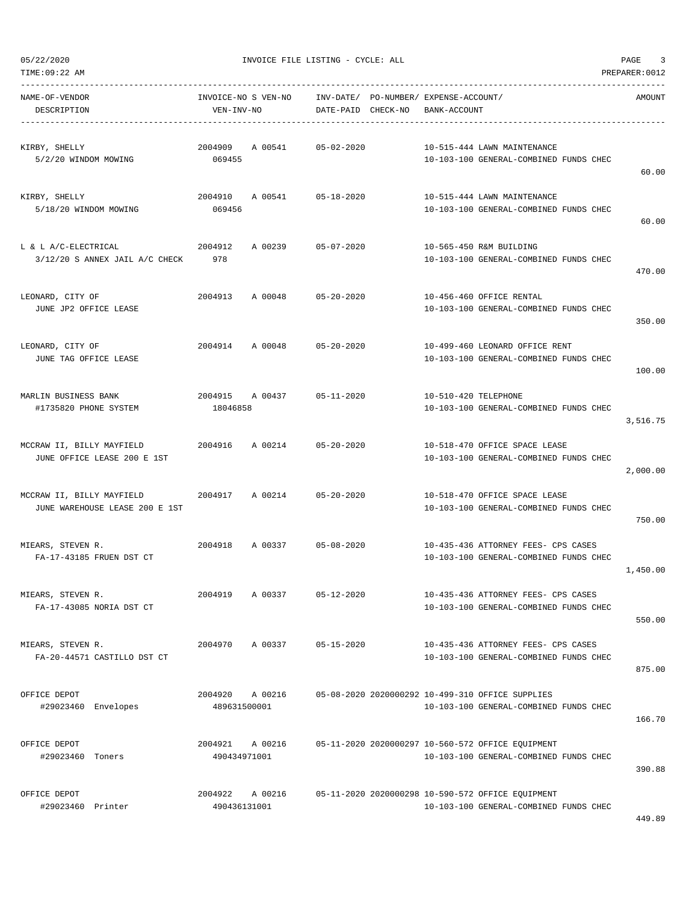| NAME-OF-VENDOR<br>DESCRIPTION                                                                   | INVOICE-NO S VEN-NO<br>VEN-INV-NO      | INV-DATE/ PO-NUMBER/ EXPENSE-ACCOUNT/<br>DATE-PAID CHECK-NO BANK-ACCOUNT |                                                                               | AMOUNT   |
|-------------------------------------------------------------------------------------------------|----------------------------------------|--------------------------------------------------------------------------|-------------------------------------------------------------------------------|----------|
| KIRBY, SHELLY                                                                                   | 2004909 A 00541                        | 05-02-2020                                                               | 10-515-444 LAWN MAINTENANCE                                                   |          |
| 5/2/20 WINDOM MOWING                                                                            | 069455                                 |                                                                          | 10-103-100 GENERAL-COMBINED FUNDS CHEC                                        | 60.00    |
| KIRBY, SHELLY<br>5/18/20 WINDOM MOWING                                                          | 2004910 A 00541 05-18-2020<br>069456   |                                                                          | 10-515-444 LAWN MAINTENANCE<br>10-103-100 GENERAL-COMBINED FUNDS CHEC         |          |
|                                                                                                 |                                        |                                                                          |                                                                               | 60.00    |
| L & L A/C-ELECTRICAL<br>$3/12/20$ S ANNEX JAIL A/C CHECK 978                                    | 2004912                                | A 00239 05-07-2020                                                       | 10-565-450 R&M BUILDING<br>10-103-100 GENERAL-COMBINED FUNDS CHEC             |          |
|                                                                                                 |                                        |                                                                          |                                                                               | 470.00   |
| LEONARD, CITY OF<br>JUNE JP2 OFFICE LEASE                                                       | 2004913 A 00048                        | 05-20-2020                                                               | 10-456-460 OFFICE RENTAL<br>10-103-100 GENERAL-COMBINED FUNDS CHEC            |          |
|                                                                                                 |                                        |                                                                          |                                                                               | 350.00   |
| LEONARD, CITY OF<br>JUNE TAG OFFICE LEASE                                                       | 2004914 A 00048 05-20-2020             |                                                                          | 10-499-460 LEONARD OFFICE RENT<br>10-103-100 GENERAL-COMBINED FUNDS CHEC      |          |
|                                                                                                 |                                        |                                                                          |                                                                               | 100.00   |
| MARLIN BUSINESS BANK<br>#1735820 PHONE SYSTEM                                                   | 2004915 A 00437 05-11-2020<br>18046858 |                                                                          | 10-510-420 TELEPHONE<br>10-103-100 GENERAL-COMBINED FUNDS CHEC                |          |
|                                                                                                 |                                        |                                                                          |                                                                               | 3,516.75 |
| MCCRAW II, BILLY MAYFIELD 			 2004916 			 A 00214 			 05-20-2020<br>JUNE OFFICE LEASE 200 E 1ST |                                        |                                                                          | 10-518-470 OFFICE SPACE LEASE<br>10-103-100 GENERAL-COMBINED FUNDS CHEC       |          |
|                                                                                                 |                                        |                                                                          |                                                                               | 2,000.00 |
| MCCRAW II, BILLY MAYFIELD<br>JUNE WAREHOUSE LEASE 200 E 1ST                                     | 2004917 A 00214 05-20-2020             |                                                                          | 10-518-470 OFFICE SPACE LEASE<br>10-103-100 GENERAL-COMBINED FUNDS CHEC       |          |
|                                                                                                 |                                        |                                                                          |                                                                               | 750.00   |
| MIEARS, STEVEN R.<br>FA-17-43185 FRUEN DST CT                                                   | 2004918 A 00337 05-08-2020             |                                                                          | 10-435-436 ATTORNEY FEES- CPS CASES<br>10-103-100 GENERAL-COMBINED FUNDS CHEC | 1,450.00 |
| MIEARS, STEVEN R.                                                                               | 2004919<br>A 00337                     | $05 - 12 - 2020$                                                         | 10-435-436 ATTORNEY FEES- CPS CASES                                           |          |
| FA-17-43085 NORIA DST CT                                                                        |                                        |                                                                          | 10-103-100 GENERAL-COMBINED FUNDS CHEC                                        | 550.00   |
| MIEARS, STEVEN R.                                                                               | 2004970<br>A 00337                     | $05 - 15 - 2020$                                                         | 10-435-436 ATTORNEY FEES- CPS CASES                                           |          |
| FA-20-44571 CASTILLO DST CT                                                                     |                                        |                                                                          | 10-103-100 GENERAL-COMBINED FUNDS CHEC                                        | 875.00   |
| OFFICE DEPOT                                                                                    | 2004920 A 00216                        |                                                                          | 05-08-2020 2020000292 10-499-310 OFFICE SUPPLIES                              |          |
| #29023460 Envelopes                                                                             | 489631500001                           |                                                                          | 10-103-100 GENERAL-COMBINED FUNDS CHEC                                        | 166.70   |
| OFFICE DEPOT                                                                                    | 2004921<br>A 00216                     |                                                                          | 05-11-2020 2020000297 10-560-572 OFFICE EQUIPMENT                             |          |
| #29023460 Toners                                                                                | 490434971001                           |                                                                          | 10-103-100 GENERAL-COMBINED FUNDS CHEC                                        | 390.88   |
| OFFICE DEPOT                                                                                    | 2004922<br>A 00216                     |                                                                          | 05-11-2020 2020000298 10-590-572 OFFICE EQUIPMENT                             |          |
| #29023460 Printer                                                                               | 490436131001                           |                                                                          | 10-103-100 GENERAL-COMBINED FUNDS CHEC                                        |          |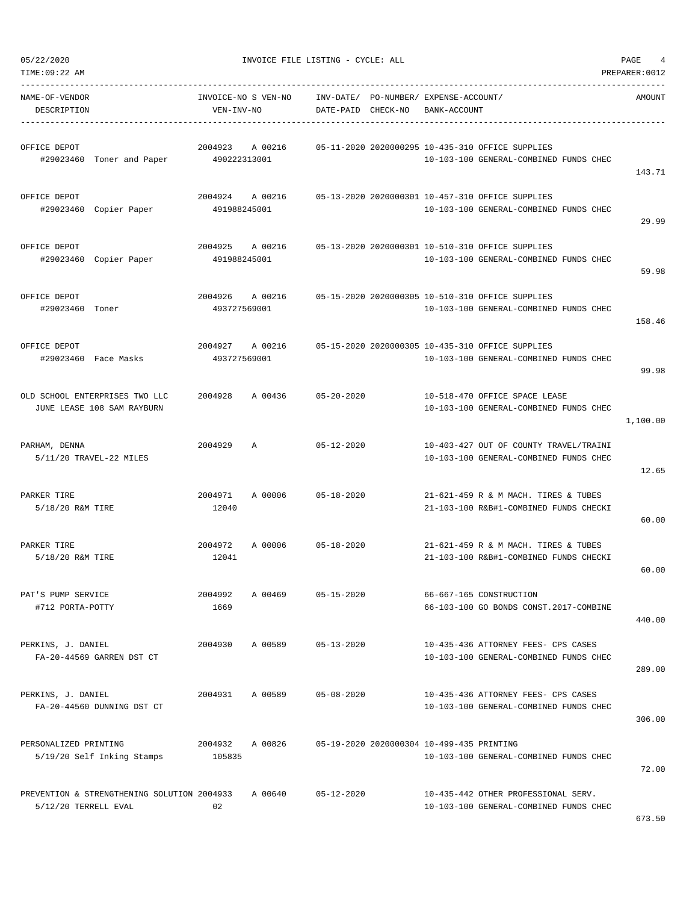----------------------------------------------------------------------------------------------------------------------------------- NAME-OF-VENDOR INVOICE-NO S VEN-NO INV-DATE/ PO-NUMBER/ EXPENSE-ACCOUNT/ AMOUNT DESCRIPTION VEN-INV-NO DATE-PAID CHECK-NO BANK-ACCOUNT

| OFFICE DEPOT<br>#29023460 Toner and Paper 490222313001              |                   |                    |                  |                                           | 2004923 A 00216 05-11-2020 2020000295 10-435-310 OFFICE SUPPLIES<br>10-103-100 GENERAL-COMBINED FUNDS CHEC | 143.71   |
|---------------------------------------------------------------------|-------------------|--------------------|------------------|-------------------------------------------|------------------------------------------------------------------------------------------------------------|----------|
| OFFICE DEPOT<br>#29023460 Copier Paper                              | 491988245001      |                    |                  |                                           | 2004924 A 00216 05-13-2020 2020000301 10-457-310 OFFICE SUPPLIES<br>10-103-100 GENERAL-COMBINED FUNDS CHEC | 29.99    |
| OFFICE DEPOT<br>#29023460 Copier Paper                              | 491988245001      |                    |                  |                                           | 2004925 A 00216 05-13-2020 2020000301 10-510-310 OFFICE SUPPLIES<br>10-103-100 GENERAL-COMBINED FUNDS CHEC | 59.98    |
| OFFICE DEPOT<br>#29023460 Toner                                     | 493727569001      |                    |                  |                                           | 2004926 A 00216 05-15-2020 2020000305 10-510-310 OFFICE SUPPLIES<br>10-103-100 GENERAL-COMBINED FUNDS CHEC | 158.46   |
| OFFICE DEPOT<br>#29023460 Face Masks                                | 493727569001      | 2004927 A 00216    |                  |                                           | 05-15-2020 2020000305 10-435-310 OFFICE SUPPLIES<br>10-103-100 GENERAL-COMBINED FUNDS CHEC                 | 99.98    |
| OLD SCHOOL ENTERPRISES TWO LLC<br>JUNE LEASE 108 SAM RAYBURN        | 2004928           | A 00436 05-20-2020 |                  |                                           | 10-518-470 OFFICE SPACE LEASE<br>10-103-100 GENERAL-COMBINED FUNDS CHEC                                    | 1,100.00 |
| PARHAM, DENNA<br>5/11/20 TRAVEL-22 MILES                            | 2004929 A         |                    | $05 - 12 - 2020$ |                                           | 10-403-427 OUT OF COUNTY TRAVEL/TRAINI<br>10-103-100 GENERAL-COMBINED FUNDS CHEC                           | 12.65    |
| PARKER TIRE<br>5/18/20 R&M TIRE                                     | 2004971<br>12040  | A 00006            | $05 - 18 - 2020$ |                                           | 21-621-459 R & M MACH. TIRES & TUBES<br>21-103-100 R&B#1-COMBINED FUNDS CHECKI                             | 60.00    |
| PARKER TIRE<br>5/18/20 R&M TIRE                                     | 2004972<br>12041  | A 00006            | $05 - 18 - 2020$ |                                           | 21-621-459 R & M MACH. TIRES & TUBES<br>21-103-100 R&B#1-COMBINED FUNDS CHECKI                             | 60.00    |
| PAT'S PUMP SERVICE<br>#712 PORTA-POTTY                              | 2004992<br>1669   | A 00469 05-15-2020 |                  |                                           | 66-667-165 CONSTRUCTION<br>66-103-100 GO BONDS CONST.2017-COMBINE                                          | 440.00   |
| PERKINS, J. DANIEL<br>FA-20-44569 GARREN DST CT                     | 2004930           | A 00589            | $05 - 13 - 2020$ |                                           | 10-435-436 ATTORNEY FEES- CPS CASES<br>10-103-100 GENERAL-COMBINED FUNDS CHEC                              | 289.00   |
| PERKINS, J. DANIEL<br>FA-20-44560 DUNNING DST CT                    | 2004931           | A 00589            | $05 - 08 - 2020$ |                                           | 10-435-436 ATTORNEY FEES- CPS CASES<br>10-103-100 GENERAL-COMBINED FUNDS CHEC                              | 306.00   |
| PERSONALIZED PRINTING<br>5/19/20 Self Inking Stamps                 | 2004932<br>105835 | A 00826            |                  | 05-19-2020 2020000304 10-499-435 PRINTING | 10-103-100 GENERAL-COMBINED FUNDS CHEC                                                                     | 72.00    |
| PREVENTION & STRENGTHENING SOLUTION 2004933<br>5/12/20 TERRELL EVAL | 02                | A 00640            | $05 - 12 - 2020$ |                                           | 10-435-442 OTHER PROFESSIONAL SERV.<br>10-103-100 GENERAL-COMBINED FUNDS CHEC                              | 673.50   |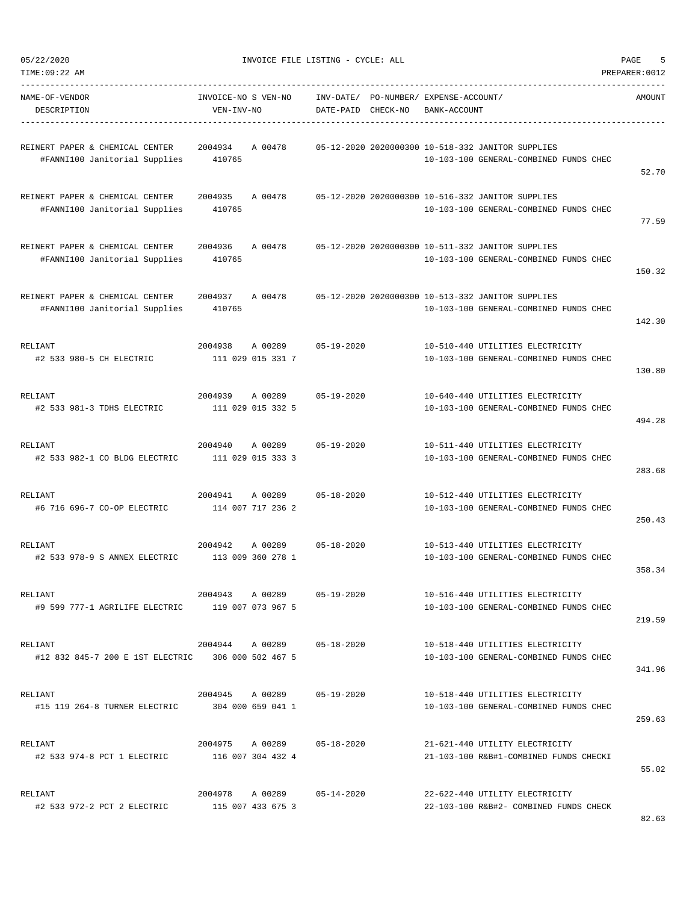| 05/22/2020 | INVOICE FILE LISTING - CYCLE: ALL | PAGE |  |
|------------|-----------------------------------|------|--|
|------------|-----------------------------------|------|--|

| NAME-OF-VENDOR<br>DESCRIPTION                                    | INVOICE-NO S VEN-NO<br>VEN-INV-NO    |                                      | DATE-PAID CHECK-NO         | INV-DATE/ PO-NUMBER/ EXPENSE-ACCOUNT/<br>BANK-ACCOUNT |                                                                                             | AMOUNT |
|------------------------------------------------------------------|--------------------------------------|--------------------------------------|----------------------------|-------------------------------------------------------|---------------------------------------------------------------------------------------------|--------|
| REINERT PAPER & CHEMICAL CENTER<br>#FANNI100 Janitorial Supplies | 2004934<br>410765                    | A 00478                              |                            |                                                       | 05-12-2020 2020000300 10-518-332 JANITOR SUPPLIES<br>10-103-100 GENERAL-COMBINED FUNDS CHEC | 52.70  |
| REINERT PAPER & CHEMICAL CENTER<br>#FANNI100 Janitorial Supplies | 2004935<br>410765                    | A 00478                              |                            |                                                       | 05-12-2020 2020000300 10-516-332 JANITOR SUPPLIES<br>10-103-100 GENERAL-COMBINED FUNDS CHEC | 77.59  |
| REINERT PAPER & CHEMICAL CENTER<br>#FANNI100 Janitorial Supplies | 2004936<br>410765                    | A 00478                              |                            |                                                       | 05-12-2020 2020000300 10-511-332 JANITOR SUPPLIES<br>10-103-100 GENERAL-COMBINED FUNDS CHEC | 150.32 |
| REINERT PAPER & CHEMICAL CENTER<br>#FANNI100 Janitorial Supplies | 2004937<br>410765                    | A 00478                              |                            |                                                       | 05-12-2020 2020000300 10-513-332 JANITOR SUPPLIES<br>10-103-100 GENERAL-COMBINED FUNDS CHEC | 142.30 |
| RELIANT<br>#2 533 980-5 CH ELECTRIC                              | 2004938                              | A 00289<br>111 029 015 331 7         | $05 - 19 - 2020$           |                                                       | 10-510-440 UTILITIES ELECTRICITY<br>10-103-100 GENERAL-COMBINED FUNDS CHEC                  | 130.80 |
| RELIANT<br>#2 533 981-3 TDHS ELECTRIC                            | 2004939                              | A 00289<br>111 029 015 332 5         | $05 - 19 - 2020$           |                                                       | 10-640-440 UTILITIES ELECTRICITY<br>10-103-100 GENERAL-COMBINED FUNDS CHEC                  | 494.28 |
| RELIANT<br>#2 533 982-1 CO BLDG ELECTRIC                         | 2004940                              | A 00289<br>111 029 015 333 3         | $05 - 19 - 2020$           |                                                       | 10-511-440 UTILITIES ELECTRICITY<br>10-103-100 GENERAL-COMBINED FUNDS CHEC                  | 283.68 |
| RELIANT<br>#6 716 696-7 CO-OP ELECTRIC                           | 2004941                              | A 00289<br>114 007 717 236 2         | $05 - 18 - 2020$           |                                                       | 10-512-440 UTILITIES ELECTRICITY<br>10-103-100 GENERAL-COMBINED FUNDS CHEC                  | 250.43 |
| RELIANT<br>#2 533 978-9 S ANNEX ELECTRIC                         | 2004942                              | A 00289<br>113 009 360 278 1         | $05 - 18 - 2020$           |                                                       | 10-513-440 UTILITIES ELECTRICITY<br>10-103-100 GENERAL-COMBINED FUNDS CHEC                  | 358.34 |
| RELIANT<br>#9 599 777-1 AGRILIFE ELECTRIC                        |                                      | 2004943 A 00289<br>119 007 073 967 5 | $05 - 19 - 2020$           |                                                       | 10-516-440 UTILITIES ELECTRICITY<br>10-103-100 GENERAL-COMBINED FUNDS CHEC                  | 219.59 |
| RELIANT<br>#12 832 845-7 200 E 1ST ELECTRIC 306 000 502 467 5    |                                      |                                      | 2004944 A 00289 05-18-2020 |                                                       | 10-518-440 UTILITIES ELECTRICITY<br>10-103-100 GENERAL-COMBINED FUNDS CHEC                  | 341.96 |
| RELIANT<br>#15 119 264-8 TURNER ELECTRIC                         | 2004945 A 00289<br>304 000 659 041 1 |                                      | 05-19-2020                 |                                                       | 10-518-440 UTILITIES ELECTRICITY<br>10-103-100 GENERAL-COMBINED FUNDS CHEC                  | 259.63 |
| RELIANT<br>#2 533 974-8 PCT 1 ELECTRIC                           |                                      | 2004975 A 00289<br>116 007 304 432 4 | 05-18-2020                 |                                                       | 21-621-440 UTILITY ELECTRICITY<br>21-103-100 R&B#1-COMBINED FUNDS CHECKI                    | 55.02  |
| RELIANT<br>#2 533 972-2 PCT 2 ELECTRIC                           |                                      | 115 007 433 675 3                    | 2004978 A 00289 05-14-2020 |                                                       | 22-622-440 UTILITY ELECTRICITY<br>22-103-100 R&B#2- COMBINED FUNDS CHECK                    |        |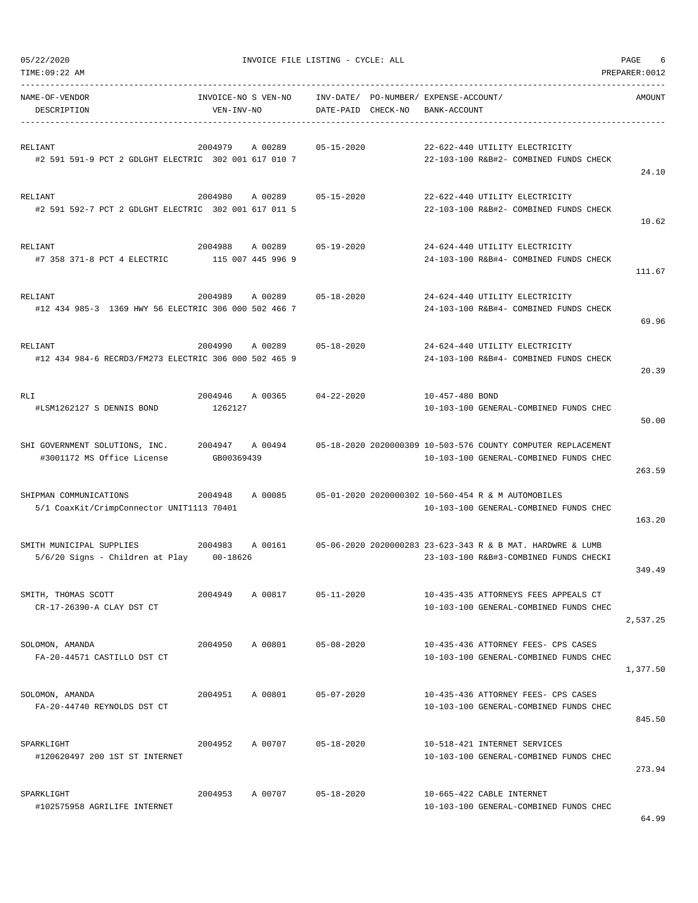| TIME:09:22 AM                                                            |                                   |         |                    |                                       |                 |                                                                                                        | PREPARER: 0012 |
|--------------------------------------------------------------------------|-----------------------------------|---------|--------------------|---------------------------------------|-----------------|--------------------------------------------------------------------------------------------------------|----------------|
| NAME-OF-VENDOR<br>DESCRIPTION                                            | INVOICE-NO S VEN-NO<br>VEN-INV-NO |         | DATE-PAID CHECK-NO | INV-DATE/ PO-NUMBER/ EXPENSE-ACCOUNT/ | BANK-ACCOUNT    |                                                                                                        | AMOUNT         |
| RELIANT<br>#2 591 591-9 PCT 2 GDLGHT ELECTRIC 302 001 617 010 7          | 2004979                           | A 00289 | $05 - 15 - 2020$   |                                       |                 | 22-622-440 UTILITY ELECTRICITY<br>22-103-100 R&B#2- COMBINED FUNDS CHECK                               | 24.10          |
| RELIANT<br>#2 591 592-7 PCT 2 GDLGHT ELECTRIC 302 001 617 011 5          | 2004980                           | A 00289 | $05 - 15 - 2020$   |                                       |                 | 22-622-440 UTILITY ELECTRICITY<br>22-103-100 R&B#2- COMBINED FUNDS CHECK                               | 10.62          |
| RELIANT<br>#7 358 371-8 PCT 4 ELECTRIC                                   | 2004988<br>115 007 445 996 9      | A 00289 | $05 - 19 - 2020$   |                                       |                 | 24-624-440 UTILITY ELECTRICITY<br>24-103-100 R&B#4- COMBINED FUNDS CHECK                               | 111.67         |
| RELIANT<br>#12 434 985-3 1369 HWY 56 ELECTRIC 306 000 502 466 7          | 2004989                           | A 00289 | $05 - 18 - 2020$   |                                       |                 | 24-624-440 UTILITY ELECTRICITY<br>24-103-100 R&B#4- COMBINED FUNDS CHECK                               | 69.96          |
| RELIANT<br>#12 434 984-6 RECRD3/FM273 ELECTRIC 306 000 502 465 9         | 2004990                           | A 00289 | $05 - 18 - 2020$   |                                       |                 | 24-624-440 UTILITY ELECTRICITY<br>24-103-100 R&B#4- COMBINED FUNDS CHECK                               | 20.39          |
| RLI<br>#LSM1262127 S DENNIS BOND                                         | 2004946<br>1262127                | A 00365 | $04 - 22 - 2020$   |                                       | 10-457-480 BOND | 10-103-100 GENERAL-COMBINED FUNDS CHEC                                                                 | 50.00          |
| SHI GOVERNMENT SOLUTIONS, INC.<br>#3001172 MS Office License             | 2004947<br>GB00369439             | A 00494 |                    |                                       |                 | 05-18-2020 2020000309 10-503-576 COUNTY COMPUTER REPLACEMENT<br>10-103-100 GENERAL-COMBINED FUNDS CHEC | 263.59         |
| SHIPMAN COMMUNICATIONS<br>5/1 CoaxKit/CrimpConnector UNIT1113 70401      | 2004948                           | A 00085 |                    |                                       |                 | 05-01-2020 2020000302 10-560-454 R & M AUTOMOBILES<br>10-103-100 GENERAL-COMBINED FUNDS CHEC           | 163.20         |
| SMITH MUNICIPAL SUPPLIES<br>$5/6/20$ Signs - Children at Play $00-18626$ | 2004983                           | A 00161 |                    |                                       |                 | 05-06-2020 2020000283 23-623-343 R & B MAT. HARDWRE & LUMB<br>23-103-100 R&B#3-COMBINED FUNDS CHECKI   | 349.49         |
| SMITH, THOMAS SCOTT<br>CR-17-26390-A CLAY DST CT                         | 2004949                           | A 00817 | $05 - 11 - 2020$   |                                       |                 | 10-435-435 ATTORNEYS FEES APPEALS CT<br>10-103-100 GENERAL-COMBINED FUNDS CHEC                         | 2,537.25       |
| SOLOMON, AMANDA<br>FA-20-44571 CASTILLO DST CT                           | 2004950                           | A 00801 | $05 - 08 - 2020$   |                                       |                 | 10-435-436 ATTORNEY FEES- CPS CASES<br>10-103-100 GENERAL-COMBINED FUNDS CHEC                          | 1,377.50       |
| SOLOMON, AMANDA<br>FA-20-44740 REYNOLDS DST CT                           | 2004951                           | A 00801 | $05 - 07 - 2020$   |                                       |                 | 10-435-436 ATTORNEY FEES- CPS CASES<br>10-103-100 GENERAL-COMBINED FUNDS CHEC                          | 845.50         |
| SPARKLIGHT<br>#120620497 200 1ST ST INTERNET                             | 2004952                           | A 00707 | $05 - 18 - 2020$   |                                       |                 | 10-518-421 INTERNET SERVICES<br>10-103-100 GENERAL-COMBINED FUNDS CHEC                                 | 273.94         |
| SPARKLIGHT<br>#102575958 AGRILIFE INTERNET                               | 2004953                           | A 00707 | $05 - 18 - 2020$   |                                       |                 | 10-665-422 CABLE INTERNET<br>10-103-100 GENERAL-COMBINED FUNDS CHEC                                    |                |

64.99

05/22/2020 INVOICE FILE LISTING - CYCLE: ALL PAGE 6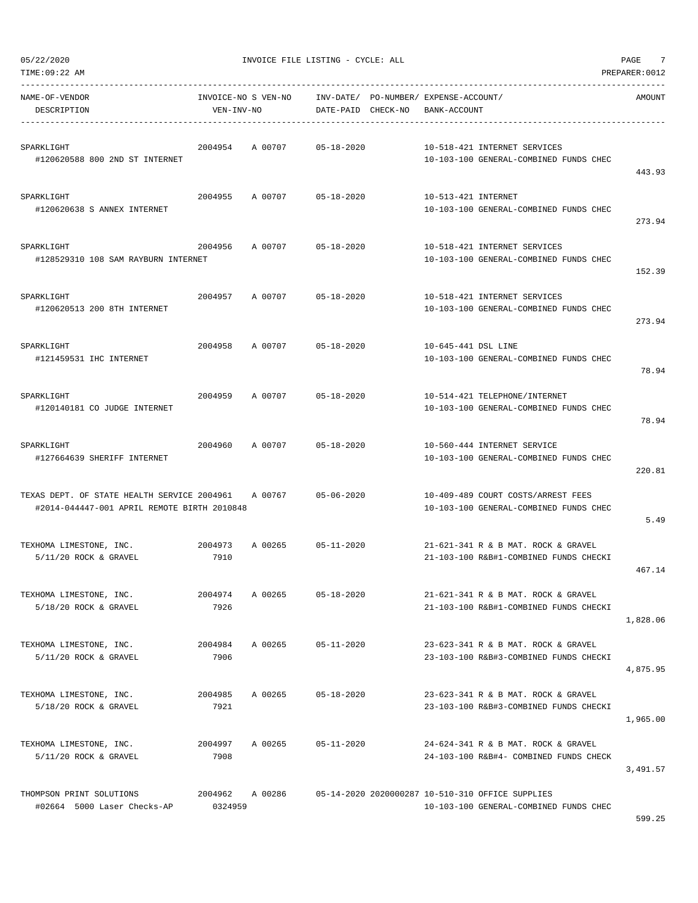| 05/22/2020 |  |  |
|------------|--|--|

| TIME:09:22 AM                                                                              |                    |                     |                        |                                                                                            | PREPARER: 0012 |
|--------------------------------------------------------------------------------------------|--------------------|---------------------|------------------------|--------------------------------------------------------------------------------------------|----------------|
| NAME-OF-VENDOR<br>DESCRIPTION                                                              | VEN-INV-NO         | INVOICE-NO S VEN-NO | INV-DATE/<br>DATE-PAID | PO-NUMBER / EXPENSE-ACCOUNT /<br>CHECK-NO<br>BANK-ACCOUNT                                  | AMOUNT         |
| SPARKLIGHT<br>#120620588 800 2ND ST INTERNET                                               | 2004954            | A 00707             | $05 - 18 - 2020$       | 10-518-421 INTERNET SERVICES<br>10-103-100 GENERAL-COMBINED FUNDS CHEC                     | 443.93         |
| SPARKLIGHT<br>#120620638 S ANNEX INTERNET                                                  | 2004955            | A 00707             | $05 - 18 - 2020$       | 10-513-421 INTERNET<br>10-103-100 GENERAL-COMBINED FUNDS CHEC                              | 273.94         |
| SPARKLIGHT<br>#128529310 108 SAM RAYBURN INTERNET                                          | 2004956            | A 00707             | $05 - 18 - 2020$       | 10-518-421 INTERNET SERVICES<br>10-103-100 GENERAL-COMBINED FUNDS CHEC                     | 152.39         |
| SPARKLIGHT<br>#120620513 200 8TH INTERNET                                                  | 2004957            | A 00707             | $05 - 18 - 2020$       | 10-518-421 INTERNET SERVICES<br>10-103-100 GENERAL-COMBINED FUNDS CHEC                     | 273.94         |
| SPARKLIGHT<br>#121459531 IHC INTERNET                                                      | 2004958            | A 00707             | $05 - 18 - 2020$       | 10-645-441 DSL LINE<br>10-103-100 GENERAL-COMBINED FUNDS CHEC                              | 78.94          |
| SPARKLIGHT<br>#120140181 CO JUDGE INTERNET                                                 | 2004959            | A 00707             | $05 - 18 - 2020$       | 10-514-421 TELEPHONE/INTERNET<br>10-103-100 GENERAL-COMBINED FUNDS CHEC                    | 78.94          |
| SPARKLIGHT<br>#127664639 SHERIFF INTERNET                                                  | 2004960            | A 00707             | $05 - 18 - 2020$       | 10-560-444 INTERNET SERVICE<br>10-103-100 GENERAL-COMBINED FUNDS CHEC                      | 220.81         |
| TEXAS DEPT. OF STATE HEALTH SERVICE 2004961<br>#2014-044447-001 APRIL REMOTE BIRTH 2010848 |                    | A 00767             | $05 - 06 - 2020$       | 10-409-489 COURT COSTS/ARREST FEES<br>10-103-100 GENERAL-COMBINED FUNDS CHEC               | 5.49           |
| TEXHOMA LIMESTONE, INC.<br>$5/11/20$ ROCK & GRAVEL                                         | 2004973<br>7910    | A 00265             | $05 - 11 - 2020$       | 21-621-341 R & B MAT. ROCK & GRAVEL<br>21-103-100 R&B#1-COMBINED FUNDS CHECKI              | 467.14         |
| TEXHOMA LIMESTONE, INC.<br>5/18/20 ROCK & GRAVEL                                           | 2004974<br>7926    | A 00265             | $05 - 18 - 2020$       | 21-621-341 R & B MAT. ROCK & GRAVEL<br>21-103-100 R&B#1-COMBINED FUNDS CHECKI              | 1,828.06       |
| TEXHOMA LIMESTONE, INC.<br>$5/11/20$ ROCK & GRAVEL                                         | 2004984<br>7906    | A 00265             | $05 - 11 - 2020$       | 23-623-341 R & B MAT. ROCK & GRAVEL<br>23-103-100 R&B#3-COMBINED FUNDS CHECKI              | 4,875.95       |
| TEXHOMA LIMESTONE, INC.<br>$5/18/20$ ROCK & GRAVEL                                         | 2004985<br>7921    | A 00265             | $05 - 18 - 2020$       | 23-623-341 R & B MAT, ROCK & GRAVEL<br>23-103-100 R&B#3-COMBINED FUNDS CHECKI              | 1,965.00       |
| TEXHOMA LIMESTONE, INC.<br>$5/11/20$ ROCK & GRAVEL                                         | 2004997<br>7908    | A 00265             | $05 - 11 - 2020$       | 24-624-341 R & B MAT. ROCK & GRAVEL<br>24-103-100 R&B#4- COMBINED FUNDS CHECK              | 3,491.57       |
| THOMPSON PRINT SOLUTIONS<br>#02664 5000 Laser Checks-AP                                    | 2004962<br>0324959 | A 00286             |                        | 05-14-2020 2020000287 10-510-310 OFFICE SUPPLIES<br>10-103-100 GENERAL-COMBINED FUNDS CHEC |                |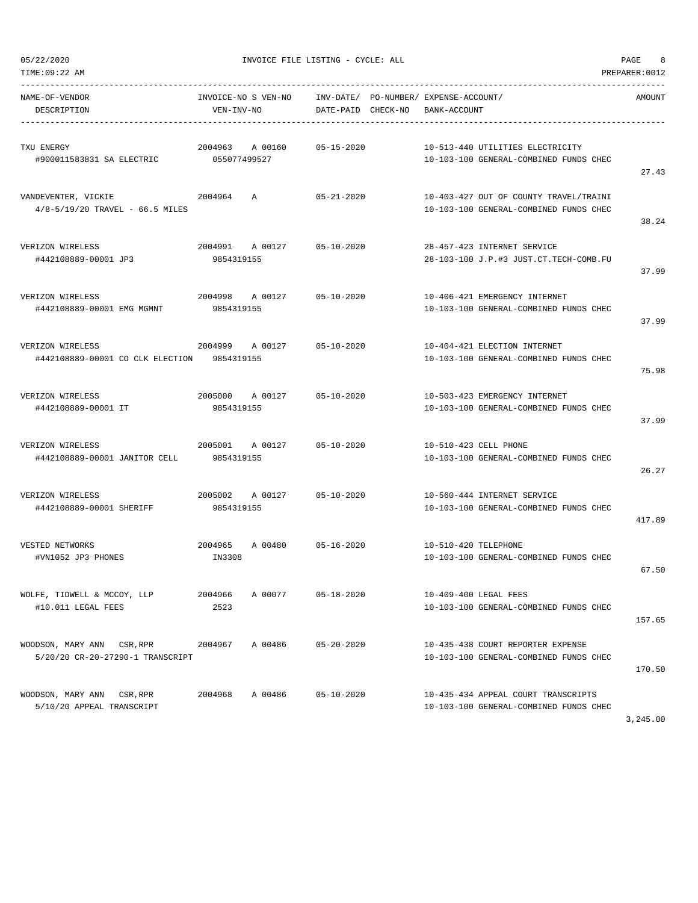| TIME:09:22 AM                                                                                 |                                 |                            |                  |                                                                          |                                                                                  | PREPARER: 0012 |
|-----------------------------------------------------------------------------------------------|---------------------------------|----------------------------|------------------|--------------------------------------------------------------------------|----------------------------------------------------------------------------------|----------------|
| NAME-OF-VENDOR<br>DESCRIPTION                                                                 | VEN-INV-NO                      | INVOICE-NO S VEN-NO        |                  | INV-DATE/ PO-NUMBER/ EXPENSE-ACCOUNT/<br>DATE-PAID CHECK-NO BANK-ACCOUNT |                                                                                  | AMOUNT         |
| TXU ENERGY<br>#900011583831 SA ELECTRIC                                                       | 2004963 A 00160<br>055077499527 |                            | $05 - 15 - 2020$ | 10-513-440 UTILITIES ELECTRICITY                                         | 10-103-100 GENERAL-COMBINED FUNDS CHEC                                           | 27.43          |
| VANDEVENTER, VICKIE<br>$4/8 - 5/19/20$ TRAVEL - 66.5 MILES                                    | 2004964 A                       |                            | 05-21-2020       |                                                                          | 10-403-427 OUT OF COUNTY TRAVEL/TRAINI<br>10-103-100 GENERAL-COMBINED FUNDS CHEC | 38.24          |
| VERIZON WIRELESS<br>#442108889-00001 JP3                                                      | 9854319155                      | 2004991 A 00127            | 05-10-2020       | 28-457-423 INTERNET SERVICE                                              | 28-103-100 J.P.#3 JUST.CT.TECH-COMB.FU                                           | 37.99          |
| VERIZON WIRELESS<br>#442108889-00001 EMG MGMNT                                                | 9854319155                      | 2004998 A 00127 05-10-2020 |                  | 10-406-421 EMERGENCY INTERNET                                            | 10-103-100 GENERAL-COMBINED FUNDS CHEC                                           | 37.99          |
| 2004999 A 00127 05-10-2020<br>VERIZON WIRELESS<br>#442108889-00001 CO CLK ELECTION 9854319155 |                                 |                            |                  | 10-404-421 ELECTION INTERNET                                             | 10-103-100 GENERAL-COMBINED FUNDS CHEC                                           | 75.98          |
| VERIZON WIRELESS<br>#442108889-00001 IT                                                       | 9854319155                      | 2005000 A 00127 05-10-2020 |                  | 10-503-423 EMERGENCY INTERNET                                            | 10-103-100 GENERAL-COMBINED FUNDS CHEC                                           | 37.99          |
| VERIZON WIRELESS<br>#442108889-00001 JANITOR CELL                                             | 9854319155                      | 2005001 A 00127            | 05-10-2020       | 10-510-423 CELL PHONE                                                    | 10-103-100 GENERAL-COMBINED FUNDS CHEC                                           | 26.27          |
| VERIZON WIRELESS<br>#442108889-00001 SHERIFF                                                  | 9854319155                      | 2005002 A 00127 05-10-2020 |                  | 10-560-444 INTERNET SERVICE                                              | 10-103-100 GENERAL-COMBINED FUNDS CHEC                                           | 417.89         |
| VESTED NETWORKS<br>#VN1052 JP3 PHONES                                                         | IN3308                          | 2004965 A 00480 05-16-2020 |                  | 10-510-420 TELEPHONE                                                     | 10-103-100 GENERAL-COMBINED FUNDS CHEC                                           | 67.50          |
| WOLFE, TIDWELL & MCCOY, LLP<br>#10.011 LEGAL FEES                                             | 2004966<br>2523                 | A 00077                    | $05 - 18 - 2020$ | 10-409-400 LEGAL FEES                                                    | 10-103-100 GENERAL-COMBINED FUNDS CHEC                                           | 157.65         |
| WOODSON, MARY ANN CSR, RPR<br>5/20/20 CR-20-27290-1 TRANSCRIPT                                | 2004967                         | A 00486                    | $05 - 20 - 2020$ |                                                                          | 10-435-438 COURT REPORTER EXPENSE<br>10-103-100 GENERAL-COMBINED FUNDS CHEC      | 170.50         |
| WOODSON, MARY ANN CSR, RPR<br>5/10/20 APPEAL TRANSCRIPT                                       | 2004968                         | A 00486                    | $05 - 10 - 2020$ |                                                                          | 10-435-434 APPEAL COURT TRANSCRIPTS<br>10-103-100 GENERAL-COMBINED FUNDS CHEC    |                |

3,245.00